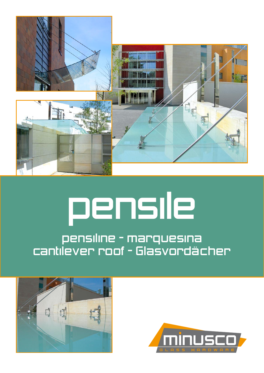

# pensile

# pensiline - marquesina cantilever roof - Glasvordächer



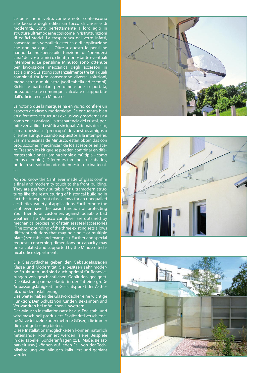Le pensiline in vetro, come è noto, conferiscono alle facciate degli edifici un tocco di classe e di modernità. Sono perfettamente a loro agio in strutture ultramoderne così come in ristrutturazioni di edifici storici. La trasparenza del vetro infatti, consente una versatilità estetica e di applicazione che non ha eguali. Oltre a questo le pensiline hanno la indispensabile funzione di "prendersi cura" dei vostri amici o clienti, nonostante eventuali intemperie. Le pensiline Minusco sono ottenute per lavorazione meccanica degli accessori in acciaio inox. Esistono sostanzialmente tre kit, i quali combinati fra loro consentono diverse soluzioni, monolastra o multilastra (vedi tabella ed esempi). Richieste particolari per dimensione o portata, possono essere comunque calcolate e supportate dall'ufficio tecnico Minusco.

Es notorio que la marquesina en vidrio, confiere un aspecto de clase y modernidad. Se encuentra bien en diferentes estructuras exclusivas y modernas así como en las antigas. La trasparencia del cristal, permite versatilidad estética sin igual. Además de esto, la marquesina se "preocupa" de vuestros amigos o clientes aunque cuando expuestos a la intemperie. Las marquesinas de Minusco, estan obtenidas con producciones "mecánicas" de los acesorios en acero. Tres son los kit que se pueden combinar en diferentes soluciónes (lámina simple o múltipla – como en los ejemplos). Diferentes tamanos o acabados, podrian ser soluciónados de nuestra oficina tecnica.

As You know the Cantilever made of glass confire a final and modernity touch to the front building. They are perfectly suitable for ultramodern structures like the restructuring of historical building.In fact the transparent glass allows for an unequalled aesthetics variety of applications. Furthermore the cantilever have the basic function of protecting Your friends or customers against possibile bad weather. The Minusco cantilever are obtained by mechanical processing of stainless steel accessories . The compounding of the three existing sets allows different solutions that may be single or multiple plate ( see table and example ). Further and special requests concerning dimensions or capacity may be calculated and supported by the Minusco technical office department.

Die Glasvordächer geben den Gebäudefassaden Klasse und Modernität. Sie besitzen sehr moderne Strukturen und sind auch optimal für Renovierungen von geschichtlichen Gebäuden geeignet. Die Glastransparenz erlaubt in der Tat eine große Anpassungsfähigkeit im Gesichtspunkt der Ästhetik und der Installierung.

Des weiter haben die Glasvordächer eine wichtige Funktion: Den Schutz von Kunden, Bekannten und Verwandten bei möglichen Unwettern.

Der Minusco Installationssatz ist aus Edelstahl und wird maschinell produziert. Es gibt drei verschiedene Sätze (einzelne oder mehrere Gläser), die immer die richtige Lösung bieten.

Diese Installationsmöglichkeiten können natürlich miteinander kombiniert werden (siehe Beispiele in der Tabelle). Sonderanfragen (z. B. Maße, Belastbarkeit usw.) können auf jeden Fall von der Technikabteilung von Minusco kalkuliert und geplant werden.





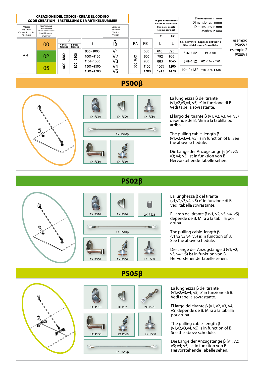

## **PS00β**





La lunghezza β del tirante  $(v1,v2,v3,v4,v5)$  e' in funzione di B. Vedi tabella sovrastante.

El largo del tirante β (v1, v2, v3, v4, v5) depende de B. Mira a la tablilla por arriba.

The pulling cable length β (v1,v2,v3,v4, v5) is in function of B. See the above schedule.

Die Länge der Anzugstange β (v1; v2; v3; v4; v5) ist in funktion von B. Hervorstehende Tabelle sehen.



### **PS02β**



**PS05β**

La lunghezza β del tirante  $(v1,v2,v3,v4,v5)$  e' in funzione di B. Vedi tabella sovrastante.

El largo del tirante β (v1, v2, v3, v4, v5) depende de B. Mira a la tablilla por arriba.

The pulling cable length β  $(v1,v2,v3,v4,v5)$  is in function of B. See the above schedule.

Die Länge der Anzugstange β (v1; v2; v3; v4; v5) ist in funktion von B. Hervorstehende Tabelle sehen.





La lunghezza β del tirante  $(v1,v2,v3,v4,v5)$  e' in funzione di B. Vedi tabella sovrastante.

El largo del tirante β (v1, v2, v3, v4, v5) depende de B. Mira a la tablilla por arriba.

The pulling cable length β  $(v1,v2,v3,v4,v5)$  is in function of B. See the above schedule.

Die Länge der Anzugstange β (v1; v2; v3; v4; v5) ist in funktion von B. Hervorstehende Tabelle sehen.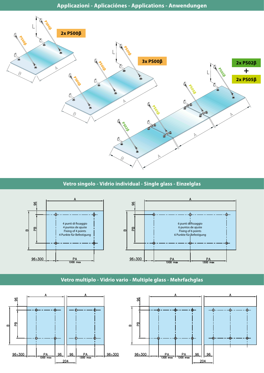**Applicazioni - Aplicaciónes - Applications - Anwendungen**



#### **Vetro singolo - Vidrio individual - Single glass - Einzelglas**



#### **Vetro multiplo - Vidrio vario - Multiple glass - Mehrfachglas**



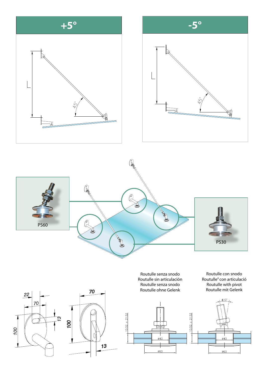